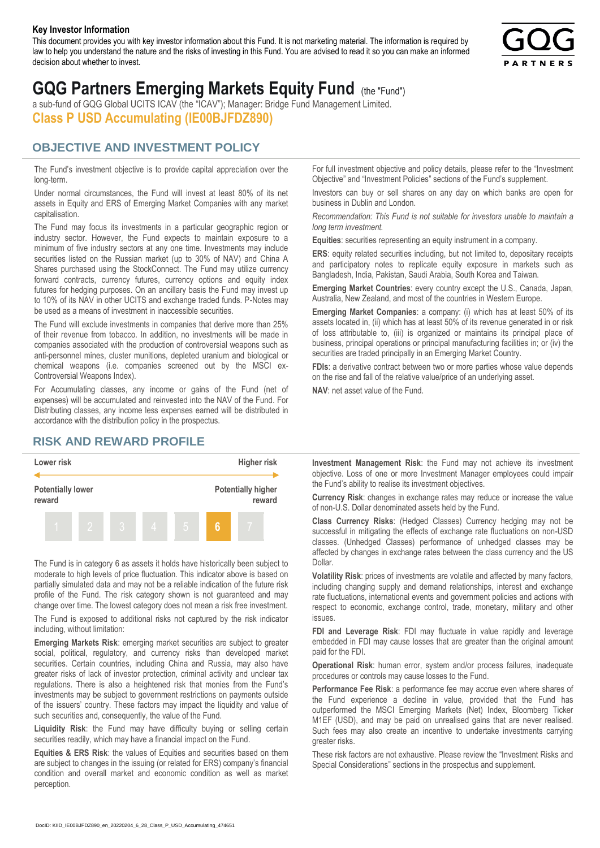#### **Key Investor Information**

This document provides you with key investor information about this Fund. It is not marketing material. The information is required by law to help you understand the nature and the risks of investing in this Fund. You are advised to read it so you can make an informed decision about whether to invest.



# **GQG Partners Emerging Markets Equity Fund** (the "Fund")

a sub-fund of GQG Global UCITS ICAV (the "ICAV"); Manager: Bridge Fund Management Limited. **Class P USD Accumulating (IE00BJFDZ890)**

#### **OBJECTIVE AND INVESTMENT POLICY**

The Fund's investment objective is to provide capital appreciation over the long-term.

Under normal circumstances, the Fund will invest at least 80% of its net assets in Equity and ERS of Emerging Market Companies with any market capitalisation.

The Fund may focus its investments in a particular geographic region or industry sector. However, the Fund expects to maintain exposure to a minimum of five industry sectors at any one time. Investments may include securities listed on the Russian market (up to 30% of NAV) and China A Shares purchased using the StockConnect. The Fund may utilize currency forward contracts, currency futures, currency options and equity index futures for hedging purposes. On an ancillary basis the Fund may invest up to 10% of its NAV in other UCITS and exchange traded funds. P-Notes may be used as a means of investment in inaccessible securities.

The Fund will exclude investments in companies that derive more than 25% of their revenue from tobacco. In addition, no investments will be made in companies associated with the production of controversial weapons such as anti-personnel mines, cluster munitions, depleted uranium and biological or chemical weapons (i.e. companies screened out by the MSCI ex-Controversial Weapons Index).

For Accumulating classes, any income or gains of the Fund (net of expenses) will be accumulated and reinvested into the NAV of the Fund. For Distributing classes, any income less expenses earned will be distributed in accordance with the distribution policy in the prospectus.

### **RISK AND REWARD PROFILE**



The Fund is in category 6 as assets it holds have historically been subject to moderate to high levels of price fluctuation. This indicator above is based on partially simulated data and may not be a reliable indication of the future risk profile of the Fund. The risk category shown is not guaranteed and may change over time. The lowest category does not mean a risk free investment.

The Fund is exposed to additional risks not captured by the risk indicator including, without limitation:

**Emerging Markets Risk**: emerging market securities are subject to greater social, political, regulatory, and currency risks than developed market securities. Certain countries, including China and Russia, may also have greater risks of lack of investor protection, criminal activity and unclear tax regulations. There is also a heightened risk that monies from the Fund's investments may be subject to government restrictions on payments outside of the issuers' country. These factors may impact the liquidity and value of such securities and, consequently, the value of the Fund.

**Liquidity Risk**: the Fund may have difficulty buying or selling certain securities readily, which may have a financial impact on the Fund.

**Equities & ERS Risk**: the values of Equities and securities based on them are subject to changes in the issuing (or related for ERS) company's financial condition and overall market and economic condition as well as market perception.

For full investment objective and policy details, please refer to the "Investment Objective" and "Investment Policies" sections of the Fund's supplement.

Investors can buy or sell shares on any day on which banks are open for business in Dublin and London.

*Recommendation: This Fund is not suitable for investors unable to maintain a long term investment.*

**Equities**: securities representing an equity instrument in a company.

**ERS:** equity related securities including, but not limited to, depositary receipts and participatory notes to replicate equity exposure in markets such as Bangladesh, India, Pakistan, Saudi Arabia, South Korea and Taiwan.

**Emerging Market Countries**: every country except the U.S., Canada, Japan, Australia, New Zealand, and most of the countries in Western Europe.

**Emerging Market Companies**: a company: (i) which has at least 50% of its assets located in, (ii) which has at least 50% of its revenue generated in or risk of loss attributable to, (iii) is organized or maintains its principal place of business, principal operations or principal manufacturing facilities in; or (iv) the securities are traded principally in an Emerging Market Country.

**FDIs**: a derivative contract between two or more parties whose value depends on the rise and fall of the relative value/price of an underlying asset.

**NAV**: net asset value of the Fund.

**Investment Management Risk**: the Fund may not achieve its investment objective. Loss of one or more Investment Manager employees could impair the Fund's ability to realise its investment objectives.

**Currency Risk**: changes in exchange rates may reduce or increase the value of non-U.S. Dollar denominated assets held by the Fund.

**Class Currency Risks**: (Hedged Classes) Currency hedging may not be successful in mitigating the effects of exchange rate fluctuations on non-USD classes. (Unhedged Classes) performance of unhedged classes may be affected by changes in exchange rates between the class currency and the US Dollar.

**Volatility Risk**: prices of investments are volatile and affected by many factors, including changing supply and demand relationships, interest and exchange rate fluctuations, international events and government policies and actions with respect to economic, exchange control, trade, monetary, military and other issues.

**FDI and Leverage Risk**: FDI may fluctuate in value rapidly and leverage embedded in FDI may cause losses that are greater than the original amount paid for the FDI.

**Operational Risk**: human error, system and/or process failures, inadequate procedures or controls may cause losses to the Fund.

**Performance Fee Risk**: a performance fee may accrue even where shares of the Fund experience a decline in value, provided that the Fund has outperformed the MSCI Emerging Markets (Net) Index, Bloomberg Ticker M1EF (USD), and may be paid on unrealised gains that are never realised. Such fees may also create an incentive to undertake investments carrying greater risks.

These risk factors are not exhaustive. Please review the "Investment Risks and Special Considerations" sections in the prospectus and supplement.